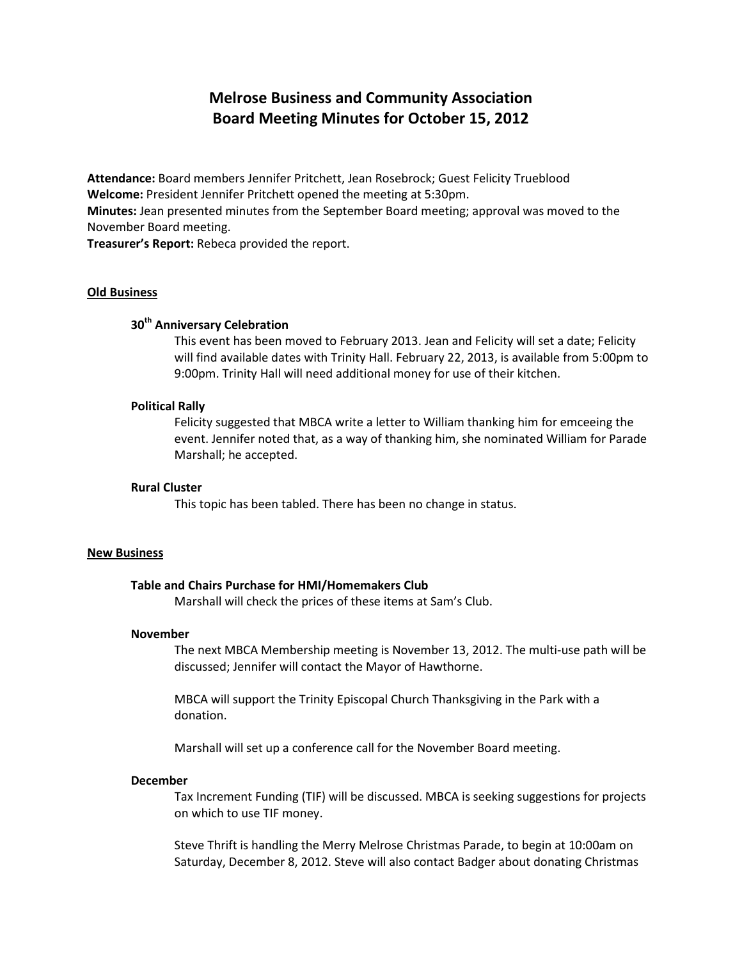# **Melrose Business and Community Association Board Meeting Minutes for October 15, 2012**

**Attendance:** Board members Jennifer Pritchett, Jean Rosebrock; Guest Felicity Trueblood **Welcome:** President Jennifer Pritchett opened the meeting at 5:30pm. **Minutes:** Jean presented minutes from the September Board meeting; approval was moved to the November Board meeting.

**Treasurer's Report:** Rebeca provided the report.

## **Old Business**

## **30th Anniversary Celebration**

This event has been moved to February 2013. Jean and Felicity will set a date; Felicity will find available dates with Trinity Hall. February 22, 2013, is available from 5:00pm to 9:00pm. Trinity Hall will need additional money for use of their kitchen.

## **Political Rally**

Felicity suggested that MBCA write a letter to William thanking him for emceeing the event. Jennifer noted that, as a way of thanking him, she nominated William for Parade Marshall; he accepted.

## **Rural Cluster**

This topic has been tabled. There has been no change in status.

#### **New Business**

## **Table and Chairs Purchase for HMI/Homemakers Club**

Marshall will check the prices of these items at Sam's Club.

### **November**

The next MBCA Membership meeting is November 13, 2012. The multi-use path will be discussed; Jennifer will contact the Mayor of Hawthorne.

MBCA will support the Trinity Episcopal Church Thanksgiving in the Park with a donation.

Marshall will set up a conference call for the November Board meeting.

#### **December**

Tax Increment Funding (TIF) will be discussed. MBCA is seeking suggestions for projects on which to use TIF money.

Steve Thrift is handling the Merry Melrose Christmas Parade, to begin at 10:00am on Saturday, December 8, 2012. Steve will also contact Badger about donating Christmas